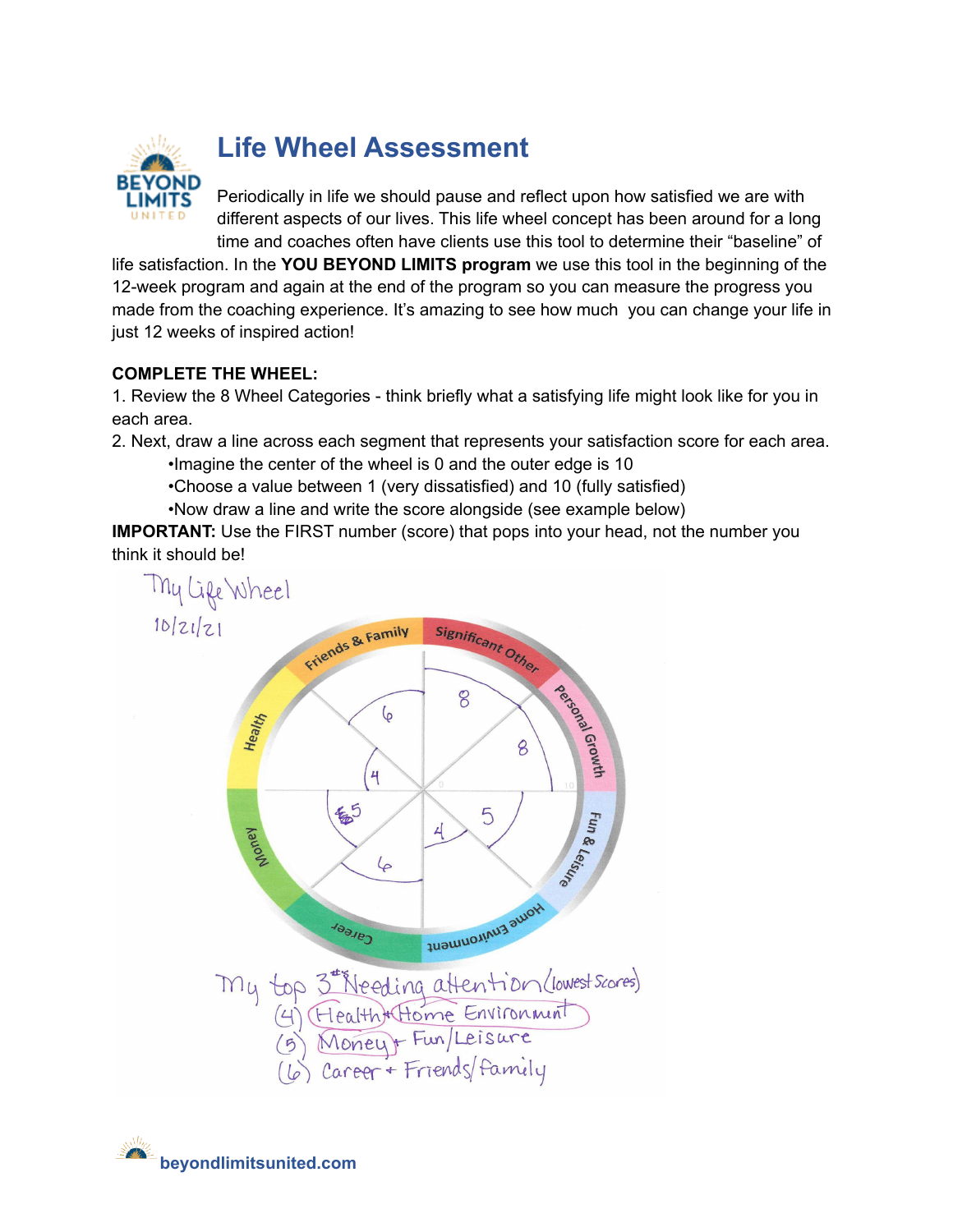

# **Life Wheel Assessment**

Periodically in life we should pause and reflect upon how satisfied we are with different aspects of our lives. This life wheel concept has been around for a long time and coaches often have clients use this tool to determine their "baseline" of

life satisfaction. In the **YOU BEYOND LIMITS program** we use this tool in the beginning of the 12-week program and again at the end of the program so you can measure the progress you made from the coaching experience. It's amazing to see how much you can change your life in just 12 weeks of inspired action!

## **COMPLETE THE WHEEL:**

1. Review the 8 Wheel Categories - think briefly what a satisfying life might look like for you in each area.

2. Next, draw a line across each segment that represents your satisfaction score for each area.

•Imagine the center of the wheel is 0 and the outer edge is 10

•Choose a value between 1 (very dissatisfied) and 10 (fully satisfied)

•Now draw a line and write the score alongside (see example below)

**IMPORTANT:** Use the FIRST number (score) that pops into your head, not the number you think it should be!



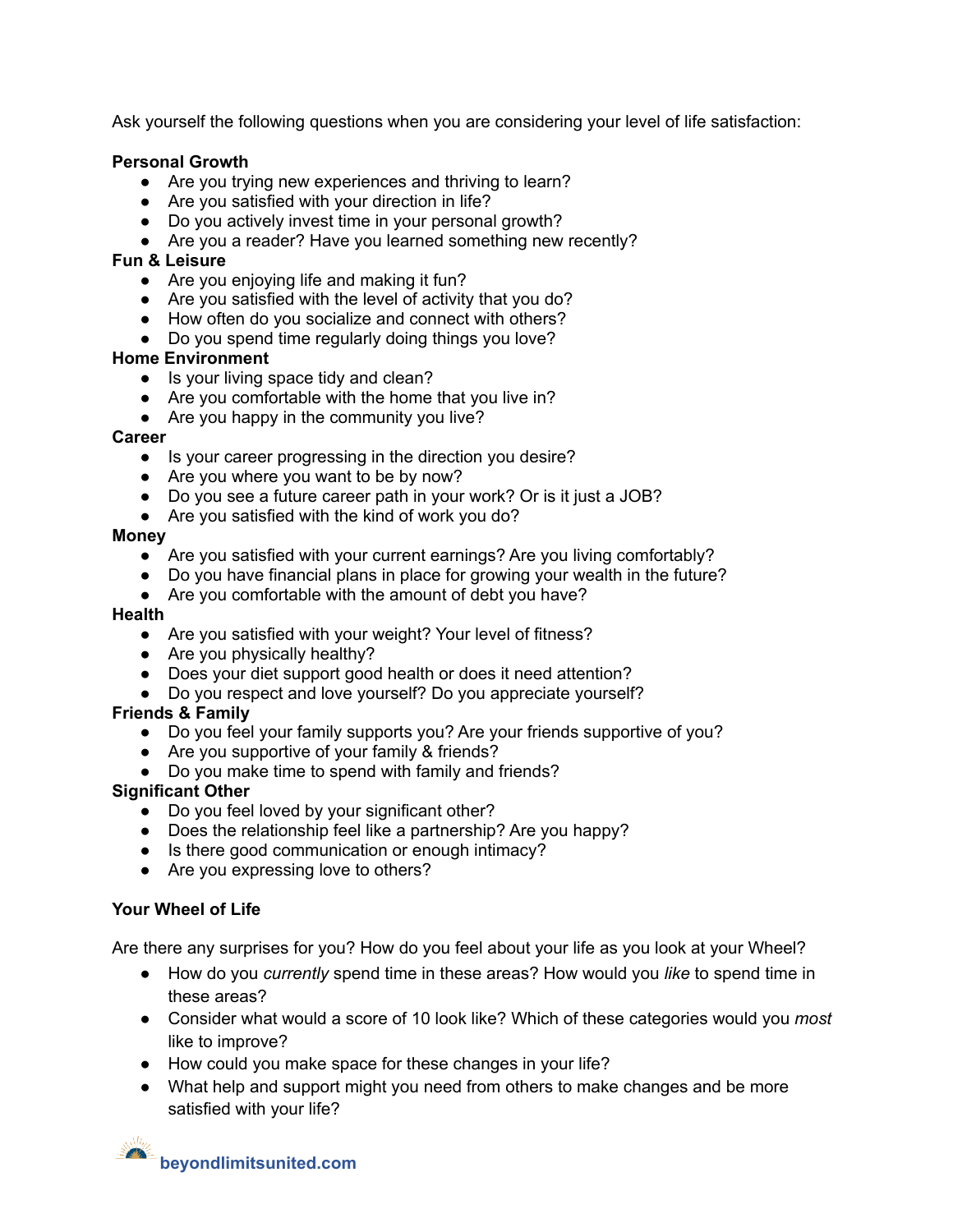Ask yourself the following questions when you are considering your level of life satisfaction:

#### **Personal Growth**

- Are you trying new experiences and thriving to learn?
- Are you satisfied with your direction in life?
- Do you actively invest time in your personal growth?
- Are you a reader? Have you learned something new recently?

#### **Fun & Leisure**

- Are you enjoying life and making it fun?
- Are you satisfied with the level of activity that you do?
- How often do you socialize and connect with others?
- Do you spend time regularly doing things you love?

### **Home Environment**

- Is your living space tidy and clean?
- Are you comfortable with the home that you live in?
- Are you happy in the community you live?

#### **Career**

- Is your career progressing in the direction you desire?
- Are you where you want to be by now?
- Do you see a future career path in your work? Or is it just a JOB?
- Are you satisfied with the kind of work you do?

#### **Money**

- Are you satisfied with your current earnings? Are you living comfortably?
- Do you have financial plans in place for growing your wealth in the future?
- Are you comfortable with the amount of debt you have?

#### **Health**

- Are you satisfied with your weight? Your level of fitness?
- Are you physically healthy?
- Does your diet support good health or does it need attention?
- Do you respect and love yourself? Do you appreciate yourself?

## **Friends & Family**

- Do you feel your family supports you? Are your friends supportive of you?
- Are you supportive of your family & friends?
- Do you make time to spend with family and friends?

## **Significant Other**

- Do you feel loved by your significant other?
- Does the relationship feel like a partnership? Are you happy?
- Is there good communication or enough intimacy?
- Are you expressing love to others?

## **Your Wheel of Life**

Are there any surprises for you? How do you feel about your life as you look at your Wheel?

- How do you *currently* spend time in these areas? How would you *like* to spend time in these areas?
- Consider what would a score of 10 look like? Which of these categories would you *most* like to improve?
- How could you make space for these changes in your life?
- What help and support might you need from others to make changes and be more satisfied with your life?

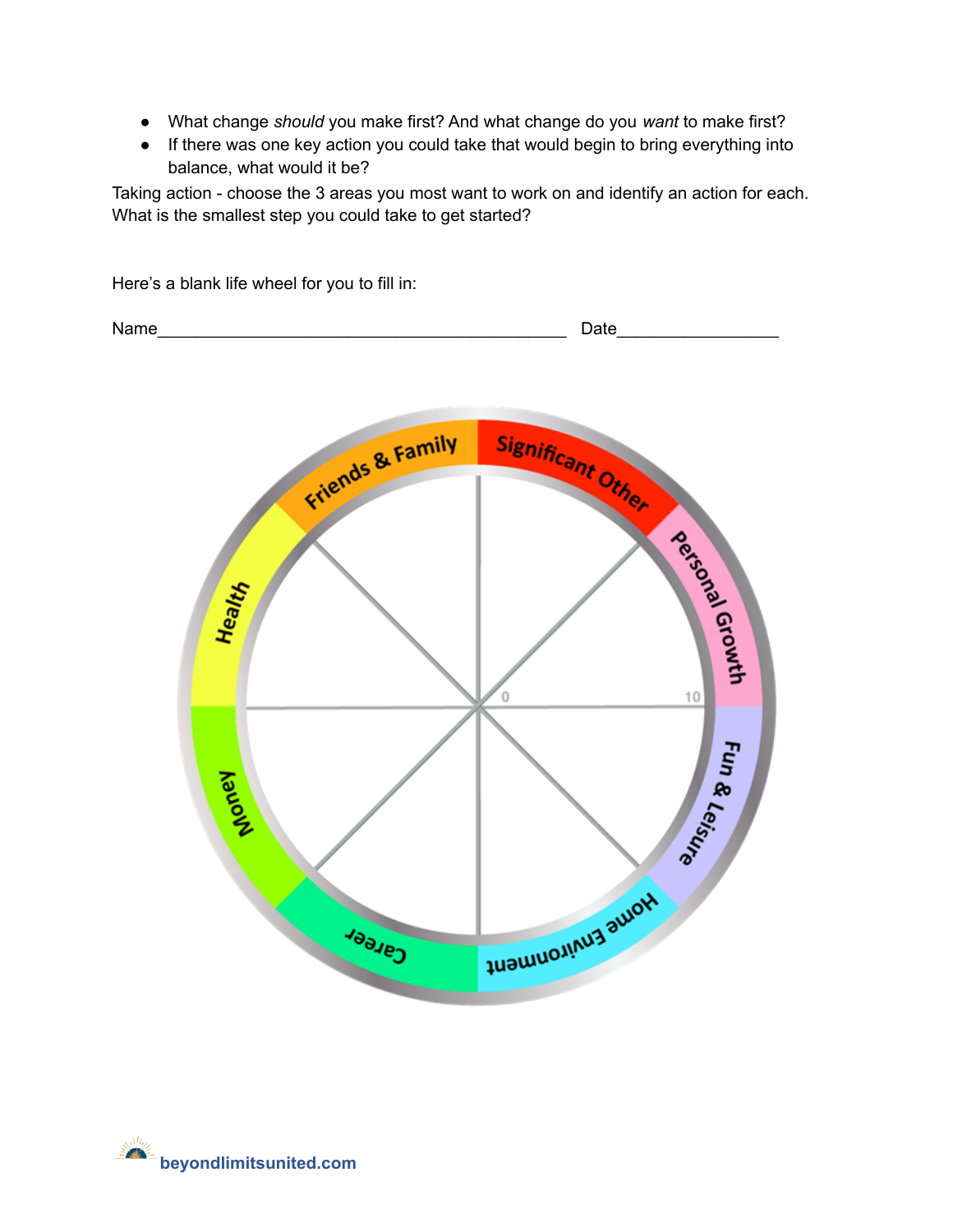- What change *should* you make first? And what change do you *want* to make first?
- If there was one key action you could take that would begin to bring everything into balance, what would it be?

Taking action - choose the 3 areas you most want to work on and identify an action for each. What is the smallest step you could take to get started?

Name\_\_\_\_\_\_\_\_\_\_\_\_\_\_\_\_\_\_\_\_\_\_\_\_\_\_\_\_\_\_\_\_\_\_\_\_\_\_\_\_\_\_\_ Date\_\_\_\_\_\_\_\_\_\_\_\_\_\_\_\_\_ Friends & Family Significant Other Agency Recounts **Health**  $10$ Ō **Fun & Leisure** Mond Nome Environment **Cares** 



Here's a blank life wheel for you to fill in: